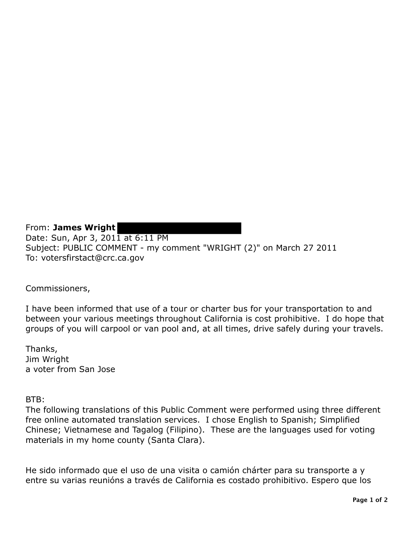From: **James Wright** Date: Sun, Apr 3, 2011 at 6:11 PM Subject: PUBLIC COMMENT - my comment "WRIGHT (2)" on March 27 2011 To: votersfirstact@crc.ca.gov

Commissioners,

I have been informed that use of a tour or charter bus for your transportation to and between your various meetings throughout California is cost prohibitive. I do hope that groups of you will carpool or van pool and, at all times, drive safely during your travels.

Thanks, Jim Wright a voter from San Jose

BTB:

The following translations of this Public Comment were performed using three different free online automated translation services. I chose English to Spanish; Simplified Chinese; Vietnamese and Tagalog (Filipino). These are the languages used for voting materials in my home county (Santa Clara).

He sido informado que el uso de una visita o camión chárter para su transporte a y entre su varias reunións a través de California es costado prohibitivo. Espero que los